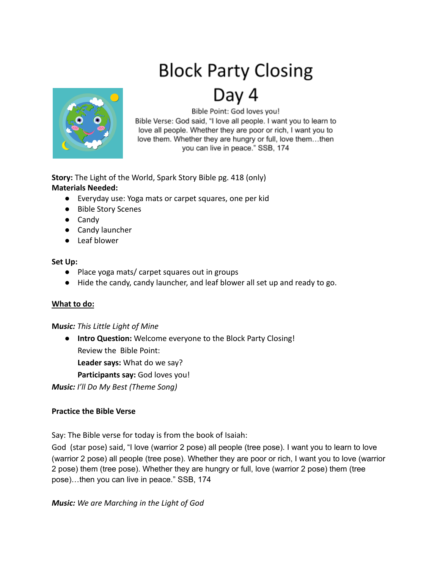# **Block Party Closing**



Day 4

Bible Point: God loves you!

Bible Verse: God said, "I love all people. I want you to learn to love all people. Whether they are poor or rich, I want you to love them. Whether they are hungry or full, love them...then you can live in peace." SSB, 174

**Story:** The Light of the World, Spark Story Bible pg. 418 (only) **Materials Needed:**

- Everyday use: Yoga mats or carpet squares, one per kid
- Bible Story Scenes
- Candy
- Candy launcher
- Leaf blower

#### **Set Up:**

- Place yoga mats/ carpet squares out in groups
- Hide the candy, candy launcher, and leaf blower all set up and ready to go.

## **What to do:**

## **M***usic: This Little Light of Mine*

● **Intro Question:** Welcome everyone to the Block Party Closing! Review the Bible Point:

**Leader says:** What do we say?

**Participants say:** God loves you!

*Music: I'll Do My Best (Theme Song)*

## **Practice the Bible Verse**

Say: The Bible verse for today is from the book of Isaiah:

God (star pose) said, "I love (warrior 2 pose) all people (tree pose). I want you to learn to love (warrior 2 pose) all people (tree pose). Whether they are poor or rich, I want you to love (warrior 2 pose) them (tree pose). Whether they are hungry or full, love (warrior 2 pose) them (tree pose)…then you can live in peace." SSB, 174

*Music: We are Marching in the Light of God*